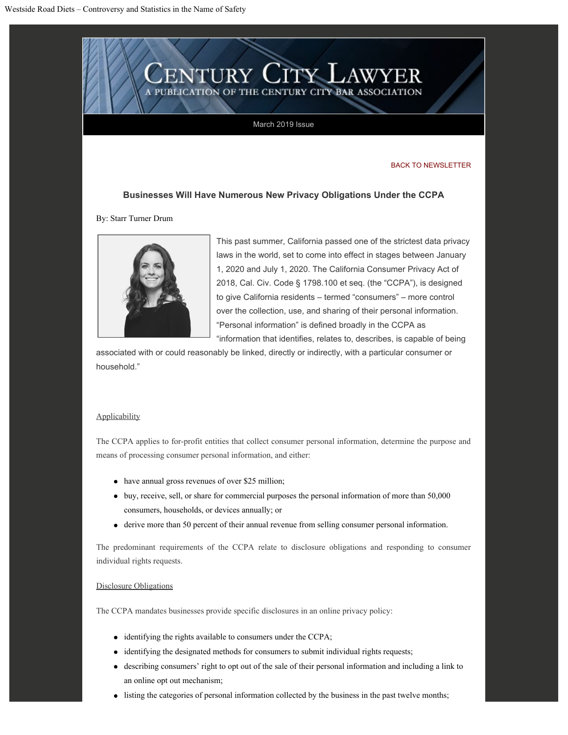

# March 2019 Issue

### [BACK TO NEWSLETTER](http://centurycitybar.com/newslettertemplate/March 2019/index_copy.html)

# **Businesses Will Have Numerous New Privacy Obligations Under the CCPA**

By: Starr Turner Drum



This past summer, California passed one of the strictest data privacy laws in the world, set to come into effect in stages between January 1, 2020 and July 1, 2020. The California Consumer Privacy Act of 2018, Cal. Civ. Code § 1798.100 et seq. (the "CCPA"), is designed to give California residents – termed "consumers" – more control over the collection, use, and sharing of their personal information. "Personal information" is defined broadly in the CCPA as

"information that identifies, relates to, describes, is capable of being

associated with or could reasonably be linked, directly or indirectly, with a particular consumer or household."

## **Applicability**

The CCPA applies to for-profit entities that collect consumer personal information, determine the purpose and means of processing consumer personal information, and either:

- have annual gross revenues of over \$25 million;
- buy, receive, sell, or share for commercial purposes the personal information of more than 50,000 consumers, households, or devices annually; or
- derive more than 50 percent of their annual revenue from selling consumer personal information.

The predominant requirements of the CCPA relate to disclosure obligations and responding to consumer individual rights requests.

# Disclosure Obligations

The CCPA mandates businesses provide specific disclosures in an online privacy policy:

- identifying the rights available to consumers under the CCPA;
- identifying the designated methods for consumers to submit individual rights requests;
- describing consumers' right to opt out of the sale of their personal information and including a link to an online opt out mechanism;
- listing the categories of personal information collected by the business in the past twelve months;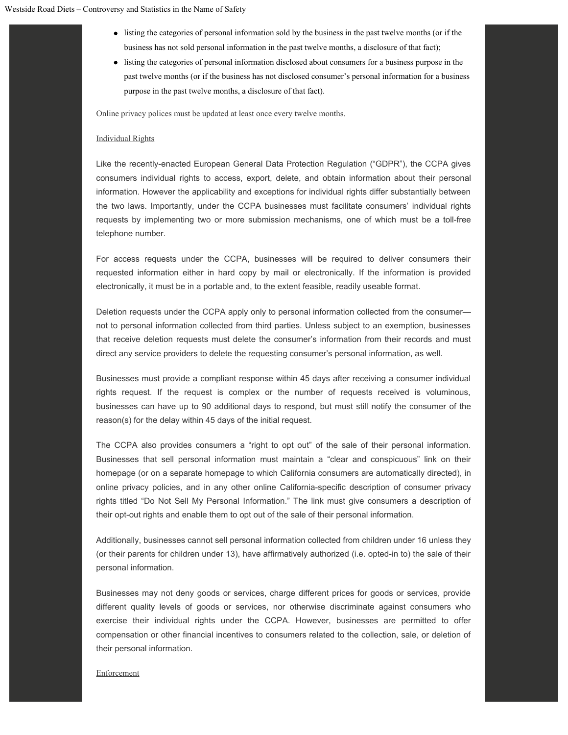- listing the categories of personal information sold by the business in the past twelve months (or if the business has not sold personal information in the past twelve months, a disclosure of that fact);
- listing the categories of personal information disclosed about consumers for a business purpose in the past twelve months (or if the business has not disclosed consumer's personal information for a business purpose in the past twelve months, a disclosure of that fact).

Online privacy polices must be updated at least once every twelve months.

#### Individual Rights

Like the recently-enacted European General Data Protection Regulation ("GDPR"), the CCPA gives consumers individual rights to access, export, delete, and obtain information about their personal information. However the applicability and exceptions for individual rights differ substantially between the two laws. Importantly, under the CCPA businesses must facilitate consumers' individual rights requests by implementing two or more submission mechanisms, one of which must be a toll-free telephone number.

For access requests under the CCPA, businesses will be required to deliver consumers their requested information either in hard copy by mail or electronically. If the information is provided electronically, it must be in a portable and, to the extent feasible, readily useable format.

Deletion requests under the CCPA apply only to personal information collected from the consumer not to personal information collected from third parties. Unless subject to an exemption, businesses that receive deletion requests must delete the consumer's information from their records and must direct any service providers to delete the requesting consumer's personal information, as well.

Businesses must provide a compliant response within 45 days after receiving a consumer individual rights request. If the request is complex or the number of requests received is voluminous, businesses can have up to 90 additional days to respond, but must still notify the consumer of the reason(s) for the delay within 45 days of the initial request.

The CCPA also provides consumers a "right to opt out" of the sale of their personal information. Businesses that sell personal information must maintain a "clear and conspicuous" link on their homepage (or on a separate homepage to which California consumers are automatically directed), in online privacy policies, and in any other online California-specific description of consumer privacy rights titled "Do Not Sell My Personal Information." The link must give consumers a description of their opt-out rights and enable them to opt out of the sale of their personal information.

Additionally, businesses cannot sell personal information collected from children under 16 unless they (or their parents for children under 13), have affirmatively authorized (i.e. opted-in to) the sale of their personal information.

Businesses may not deny goods or services, charge different prices for goods or services, provide different quality levels of goods or services, nor otherwise discriminate against consumers who exercise their individual rights under the CCPA. However, businesses are permitted to offer compensation or other financial incentives to consumers related to the collection, sale, or deletion of their personal information.

#### **Enforcement**